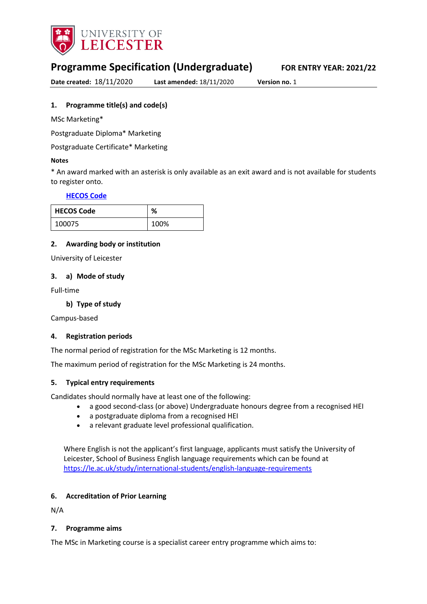

# **Programme Specification (Undergraduate) FOR ENTRY YEAR: 2021/22**

**Date created:** 18/11/2020 **Last amended:** 18/11/2020 **Version no.** 1

## <span id="page-0-0"></span>**1. Programme title(s) and code(s)**

MSc Marketing\*

Postgraduate Diploma\* Marketing

Postgraduate Certificate\* Marketing

#### **Notes**

\* An award marked with an asterisk is only available as an exit award and is not available for students to register onto.

## **[HECOS Code](https://www.hesa.ac.uk/innovation/hecos)**

| <b>HECOS Code</b> | %    |
|-------------------|------|
| 100075            | 100% |

## **2. Awarding body or institution**

University of Leicester

#### **3. a) Mode of study**

Full-time

### **b) Type of study**

Campus-based

#### **4. Registration periods**

The normal period of registration for the MSc Marketing is 12 months.

The maximum period of registration for the MSc Marketing is 24 months.

## **5. Typical entry requirements**

Candidates should normally have at least one of the following: 

- a good second-class (or above) Undergraduate honours degree from a recognised HEI
- a postgraduate diploma from a recognised HEI
- a relevant graduate level professional qualification.

Where English is not the applicant's first language, applicants must satisfy the University of Leicester, School of Business English language requirements which can be found at <https://le.ac.uk/study/international-students/english-language-requirements>

## **6. Accreditation of Prior Learning**

N/A

#### **7. Programme aims**

The MSc in Marketing course is a specialist career entry programme which aims to: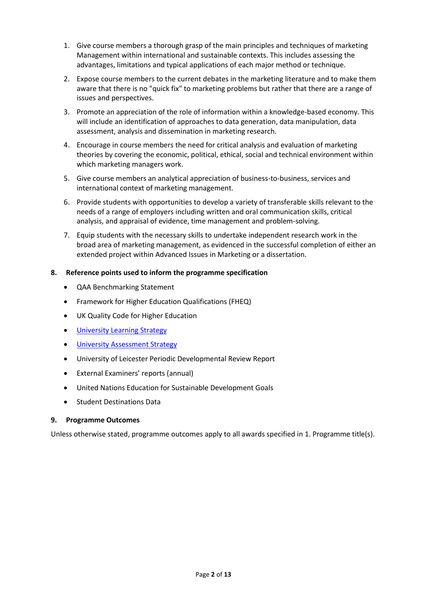- 1. Give course members a thorough grasp of the main principles and techniques of marketing Management within international and sustainable contexts. This includes assessing the advantages, limitations and typical applications of each major method or technique.
- 2. Expose course members to the current debates in the marketing literature and to make them aware that there is no "quick fix" to marketing problems but rather that there are a range of issues and perspectives.
- 3. Promote an appreciation of the role of information within a knowledge-based economy. This will include an identification of approaches to data generation, data manipulation, data assessment, analysis and dissemination in marketing research.
- 4. Encourage in course members the need for critical analysis and evaluation of marketing theories by covering the economic, political, ethical, social and technical environment within which marketing managers work.
- 5. Give course members an analytical appreciation of business-to-business, services and international context of marketing management.
- 6. Provide students with opportunities to develop a variety of transferable skills relevant to the needs of a range of employers including written and oral communication skills, critical analysis, and appraisal of evidence, time management and problem-solving.
- 7. Equip students with the necessary skills to undertake independent research work in the broad area of marketing management, as evidenced in the successful completion of either an extended project within Advanced Issues in Marketing or a dissertation.

## **8. Reference points used to inform the programme specification**

- QAA Benchmarking Statement
- Framework for Higher Education Qualifications (FHEQ)
- UK Quality Code for Higher Education
- **[University Learning](https://www2.le.ac.uk/offices/sas2/quality/learnteach) Strategy**
- [University Assessment Strategy](https://www2.le.ac.uk/offices/sas2/quality/learnteach)
- University of Leicester Periodic Developmental Review Report
- External Examiners' reports (annual)
- United Nations Education for Sustainable Development Goals
- Student Destinations Data

## **9. Programme Outcomes**

Unless otherwise stated, programme outcomes apply to all awards specified in [1.](#page-0-0) Programme title(s).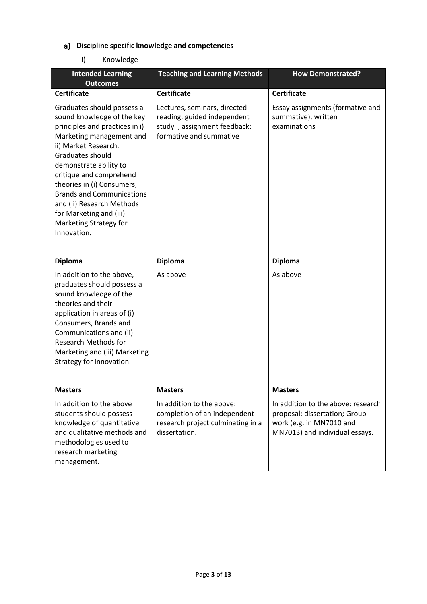# **Discipline specific knowledge and competencies**

# i) Knowledge

| <b>Intended Learning</b><br><b>Outcomes</b>                                                                                                                                                                                                                                                                                                                                                | <b>Teaching and Learning Methods</b>                                                                                  | <b>How Demonstrated?</b>                                                                                                          |
|--------------------------------------------------------------------------------------------------------------------------------------------------------------------------------------------------------------------------------------------------------------------------------------------------------------------------------------------------------------------------------------------|-----------------------------------------------------------------------------------------------------------------------|-----------------------------------------------------------------------------------------------------------------------------------|
| <b>Certificate</b>                                                                                                                                                                                                                                                                                                                                                                         | <b>Certificate</b>                                                                                                    | <b>Certificate</b>                                                                                                                |
| Graduates should possess a<br>sound knowledge of the key<br>principles and practices in i)<br>Marketing management and<br>ii) Market Research.<br>Graduates should<br>demonstrate ability to<br>critique and comprehend<br>theories in (i) Consumers,<br><b>Brands and Communications</b><br>and (ii) Research Methods<br>for Marketing and (iii)<br>Marketing Strategy for<br>Innovation. | Lectures, seminars, directed<br>reading, guided independent<br>study, assignment feedback:<br>formative and summative | Essay assignments (formative and<br>summative), written<br>examinations                                                           |
| <b>Diploma</b>                                                                                                                                                                                                                                                                                                                                                                             | <b>Diploma</b>                                                                                                        | <b>Diploma</b>                                                                                                                    |
| In addition to the above,<br>graduates should possess a<br>sound knowledge of the<br>theories and their<br>application in areas of (i)<br>Consumers, Brands and<br>Communications and (ii)<br><b>Research Methods for</b><br>Marketing and (iii) Marketing<br>Strategy for Innovation.                                                                                                     | As above                                                                                                              | As above                                                                                                                          |
| <b>Masters</b>                                                                                                                                                                                                                                                                                                                                                                             | <b>Masters</b>                                                                                                        | <b>Masters</b>                                                                                                                    |
| In addition to the above<br>students should possess<br>knowledge of quantitative<br>and qualitative methods and<br>methodologies used to<br>research marketing<br>management.                                                                                                                                                                                                              | In addition to the above:<br>completion of an independent<br>research project culminating in a<br>dissertation.       | In addition to the above: research<br>proposal; dissertation; Group<br>work (e.g. in MN7010 and<br>MN7013) and individual essays. |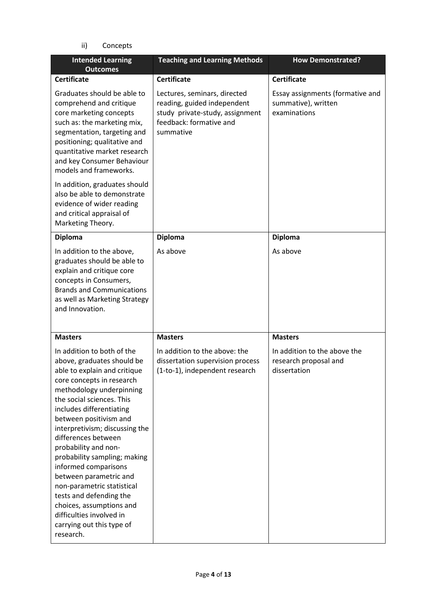ii) Concepts

| <b>Intended Learning</b><br><b>Outcomes</b>                                                                                                                                                                                                                                                                                                                                                                                                                                                                                                                        | <b>Teaching and Learning Methods</b>                                                                                                   | <b>How Demonstrated?</b>                                                |
|--------------------------------------------------------------------------------------------------------------------------------------------------------------------------------------------------------------------------------------------------------------------------------------------------------------------------------------------------------------------------------------------------------------------------------------------------------------------------------------------------------------------------------------------------------------------|----------------------------------------------------------------------------------------------------------------------------------------|-------------------------------------------------------------------------|
| <b>Certificate</b>                                                                                                                                                                                                                                                                                                                                                                                                                                                                                                                                                 | <b>Certificate</b>                                                                                                                     | <b>Certificate</b>                                                      |
| Graduates should be able to<br>comprehend and critique<br>core marketing concepts<br>such as: the marketing mix,<br>segmentation, targeting and<br>positioning; qualitative and<br>quantitative market research<br>and key Consumer Behaviour<br>models and frameworks.                                                                                                                                                                                                                                                                                            | Lectures, seminars, directed<br>reading, guided independent<br>study private-study, assignment<br>feedback: formative and<br>summative | Essay assignments (formative and<br>summative), written<br>examinations |
| In addition, graduates should<br>also be able to demonstrate<br>evidence of wider reading<br>and critical appraisal of<br>Marketing Theory.                                                                                                                                                                                                                                                                                                                                                                                                                        |                                                                                                                                        |                                                                         |
| <b>Diploma</b>                                                                                                                                                                                                                                                                                                                                                                                                                                                                                                                                                     | <b>Diploma</b>                                                                                                                         | <b>Diploma</b>                                                          |
| In addition to the above,<br>graduates should be able to<br>explain and critique core<br>concepts in Consumers,<br><b>Brands and Communications</b><br>as well as Marketing Strategy<br>and Innovation.                                                                                                                                                                                                                                                                                                                                                            | As above                                                                                                                               | As above                                                                |
| <b>Masters</b>                                                                                                                                                                                                                                                                                                                                                                                                                                                                                                                                                     | <b>Masters</b>                                                                                                                         | <b>Masters</b>                                                          |
| In addition to both of the<br>above, graduates should be<br>able to explain and critique<br>core concepts in research<br>methodology underpinning<br>the social sciences. This<br>includes differentiating<br>between positivism and<br>interpretivism; discussing the<br>differences between<br>probability and non-<br>probability sampling; making<br>informed comparisons<br>between parametric and<br>non-parametric statistical<br>tests and defending the<br>choices, assumptions and<br>difficulties involved in<br>carrying out this type of<br>research. | In addition to the above: the<br>dissertation supervision process<br>(1-to-1), independent research                                    | In addition to the above the<br>research proposal and<br>dissertation   |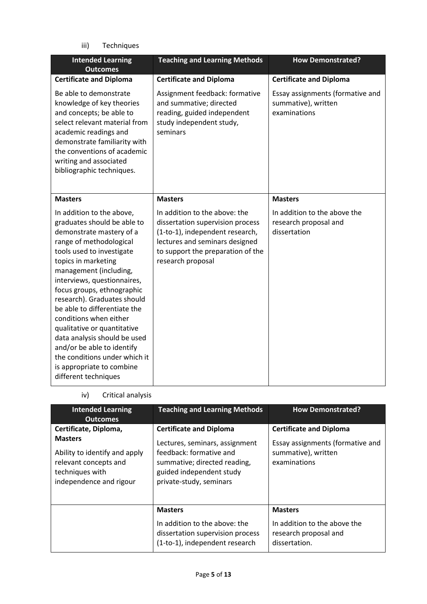iii) Techniques

| <b>Intended Learning</b><br><b>Outcomes</b>                                                                                                                                                                                                                                                                                                                                                                                                                                                                                            | <b>Teaching and Learning Methods</b>                                                                                                                                                             | <b>How Demonstrated?</b>                                                |
|----------------------------------------------------------------------------------------------------------------------------------------------------------------------------------------------------------------------------------------------------------------------------------------------------------------------------------------------------------------------------------------------------------------------------------------------------------------------------------------------------------------------------------------|--------------------------------------------------------------------------------------------------------------------------------------------------------------------------------------------------|-------------------------------------------------------------------------|
| <b>Certificate and Diploma</b>                                                                                                                                                                                                                                                                                                                                                                                                                                                                                                         | <b>Certificate and Diploma</b>                                                                                                                                                                   | <b>Certificate and Diploma</b>                                          |
| Be able to demonstrate<br>knowledge of key theories<br>and concepts; be able to<br>select relevant material from<br>academic readings and<br>demonstrate familiarity with<br>the conventions of academic<br>writing and associated<br>bibliographic techniques.                                                                                                                                                                                                                                                                        | Assignment feedback: formative<br>and summative; directed<br>reading, guided independent<br>study independent study,<br>seminars                                                                 | Essay assignments (formative and<br>summative), written<br>examinations |
| <b>Masters</b>                                                                                                                                                                                                                                                                                                                                                                                                                                                                                                                         | <b>Masters</b>                                                                                                                                                                                   | <b>Masters</b>                                                          |
| In addition to the above,<br>graduates should be able to<br>demonstrate mastery of a<br>range of methodological<br>tools used to investigate<br>topics in marketing<br>management (including,<br>interviews, questionnaires,<br>focus groups, ethnographic<br>research). Graduates should<br>be able to differentiate the<br>conditions when either<br>qualitative or quantitative<br>data analysis should be used<br>and/or be able to identify<br>the conditions under which it<br>is appropriate to combine<br>different techniques | In addition to the above: the<br>dissertation supervision process<br>(1-to-1), independent research,<br>lectures and seminars designed<br>to support the preparation of the<br>research proposal | In addition to the above the<br>research proposal and<br>dissertation   |

iv) Critical analysis

| <b>Intended Learning</b><br><b>Outcomes</b>                                                                                                     | <b>Teaching and Learning Methods</b>                                                                                                                                               | <b>How Demonstrated?</b>                                                                                  |
|-------------------------------------------------------------------------------------------------------------------------------------------------|------------------------------------------------------------------------------------------------------------------------------------------------------------------------------------|-----------------------------------------------------------------------------------------------------------|
| Certificate, Diploma,<br><b>Masters</b><br>Ability to identify and apply<br>relevant concepts and<br>techniques with<br>independence and rigour | <b>Certificate and Diploma</b><br>Lectures, seminars, assignment<br>feedback: formative and<br>summative; directed reading,<br>guided independent study<br>private-study, seminars | <b>Certificate and Diploma</b><br>Essay assignments (formative and<br>summative), written<br>examinations |
|                                                                                                                                                 | <b>Masters</b><br>In addition to the above: the<br>dissertation supervision process<br>(1-to-1), independent research                                                              | <b>Masters</b><br>In addition to the above the<br>research proposal and<br>dissertation.                  |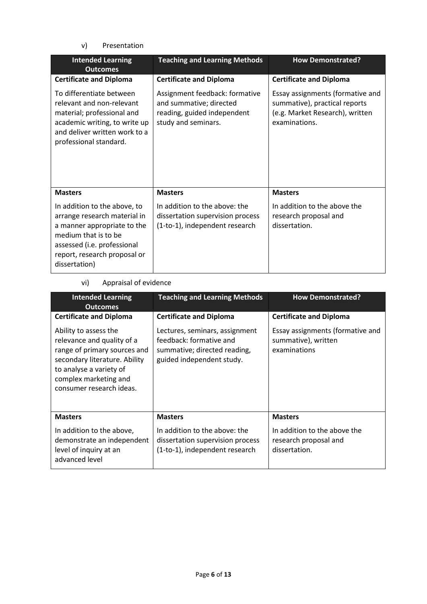v) Presentation

| <b>Intended Learning</b><br><b>Outcomes</b>                                                                                                                                                         | <b>Teaching and Learning Methods</b>                                                                            | <b>How Demonstrated?</b>                                                                                              |
|-----------------------------------------------------------------------------------------------------------------------------------------------------------------------------------------------------|-----------------------------------------------------------------------------------------------------------------|-----------------------------------------------------------------------------------------------------------------------|
| <b>Certificate and Diploma</b>                                                                                                                                                                      | <b>Certificate and Diploma</b>                                                                                  | <b>Certificate and Diploma</b>                                                                                        |
| To differentiate between<br>relevant and non-relevant<br>material; professional and<br>academic writing, to write up<br>and deliver written work to a<br>professional standard.                     | Assignment feedback: formative<br>and summative; directed<br>reading, guided independent<br>study and seminars. | Essay assignments (formative and<br>summative), practical reports<br>(e.g. Market Research), written<br>examinations. |
| <b>Masters</b>                                                                                                                                                                                      | <b>Masters</b>                                                                                                  | <b>Masters</b>                                                                                                        |
| In addition to the above, to<br>arrange research material in<br>a manner appropriate to the<br>medium that is to be<br>assessed (i.e. professional<br>report, research proposal or<br>dissertation) | In addition to the above: the<br>dissertation supervision process<br>(1-to-1), independent research             | In addition to the above the<br>research proposal and<br>dissertation.                                                |

# vi) Appraisal of evidence

| <b>Intended Learning</b><br><b>Outcomes</b>                                                                                                                                                          | <b>Teaching and Learning Methods</b>                                                                                   | <b>How Demonstrated?</b>                                                |
|------------------------------------------------------------------------------------------------------------------------------------------------------------------------------------------------------|------------------------------------------------------------------------------------------------------------------------|-------------------------------------------------------------------------|
| <b>Certificate and Diploma</b>                                                                                                                                                                       | <b>Certificate and Diploma</b>                                                                                         | <b>Certificate and Diploma</b>                                          |
| Ability to assess the<br>relevance and quality of a<br>range of primary sources and<br>secondary literature. Ability<br>to analyse a variety of<br>complex marketing and<br>consumer research ideas. | Lectures, seminars, assignment<br>feedback: formative and<br>summative; directed reading,<br>guided independent study. | Essay assignments (formative and<br>summative), written<br>examinations |
| <b>Masters</b>                                                                                                                                                                                       | <b>Masters</b>                                                                                                         | <b>Masters</b>                                                          |
| In addition to the above,<br>demonstrate an independent<br>level of inquiry at an<br>advanced level                                                                                                  | In addition to the above: the<br>dissertation supervision process<br>(1-to-1), independent research                    | In addition to the above the<br>research proposal and<br>dissertation.  |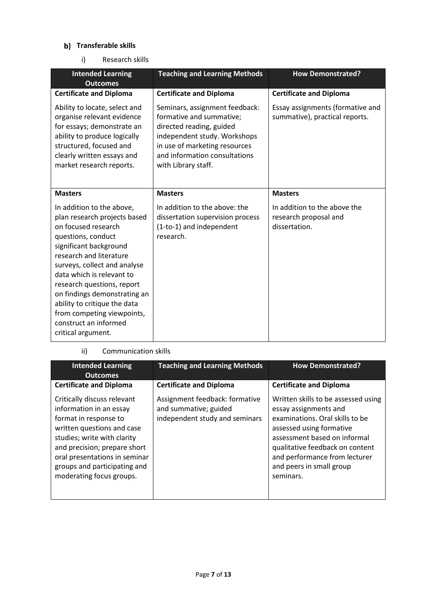# **b)** Transferable skills

i) Research skills

| <b>Intended Learning</b><br><b>Outcomes</b>                                                                                                                                                                                                                                                                                                                                                         | <b>Teaching and Learning Methods</b>                                                                                                                                                                            | <b>How Demonstrated?</b>                                               |
|-----------------------------------------------------------------------------------------------------------------------------------------------------------------------------------------------------------------------------------------------------------------------------------------------------------------------------------------------------------------------------------------------------|-----------------------------------------------------------------------------------------------------------------------------------------------------------------------------------------------------------------|------------------------------------------------------------------------|
| <b>Certificate and Diploma</b>                                                                                                                                                                                                                                                                                                                                                                      | <b>Certificate and Diploma</b>                                                                                                                                                                                  | <b>Certificate and Diploma</b>                                         |
| Ability to locate, select and<br>organise relevant evidence<br>for essays; demonstrate an<br>ability to produce logically<br>structured, focused and<br>clearly written essays and<br>market research reports.                                                                                                                                                                                      | Seminars, assignment feedback:<br>formative and summative;<br>directed reading, guided<br>independent study. Workshops<br>in use of marketing resources<br>and information consultations<br>with Library staff. | Essay assignments (formative and<br>summative), practical reports.     |
| <b>Masters</b>                                                                                                                                                                                                                                                                                                                                                                                      | <b>Masters</b>                                                                                                                                                                                                  | <b>Masters</b>                                                         |
| In addition to the above,<br>plan research projects based<br>on focused research<br>questions, conduct<br>significant background<br>research and literature<br>surveys, collect and analyse<br>data which is relevant to<br>research questions, report<br>on findings demonstrating an<br>ability to critique the data<br>from competing viewpoints,<br>construct an informed<br>critical argument. | In addition to the above: the<br>dissertation supervision process<br>(1-to-1) and independent<br>research.                                                                                                      | In addition to the above the<br>research proposal and<br>dissertation. |

## ii) Communication skills

| <b>Intended Learning</b><br><b>Outcomes</b>                                                                                                                                                                                                                               | <b>Teaching and Learning Methods</b>                                                      | <b>How Demonstrated?</b>                                                                                                                                                                                                                                                 |
|---------------------------------------------------------------------------------------------------------------------------------------------------------------------------------------------------------------------------------------------------------------------------|-------------------------------------------------------------------------------------------|--------------------------------------------------------------------------------------------------------------------------------------------------------------------------------------------------------------------------------------------------------------------------|
| <b>Certificate and Diploma</b>                                                                                                                                                                                                                                            | <b>Certificate and Diploma</b>                                                            | <b>Certificate and Diploma</b>                                                                                                                                                                                                                                           |
| Critically discuss relevant<br>information in an essay<br>format in response to<br>written questions and case<br>studies; write with clarity<br>and precision; prepare short<br>oral presentations in seminar<br>groups and participating and<br>moderating focus groups. | Assignment feedback: formative<br>and summative; guided<br>independent study and seminars | Written skills to be assessed using<br>essay assignments and<br>examinations. Oral skills to be<br>assessed using formative<br>assessment based on informal<br>qualitative feedback on content<br>and performance from lecturer<br>and peers in small group<br>seminars. |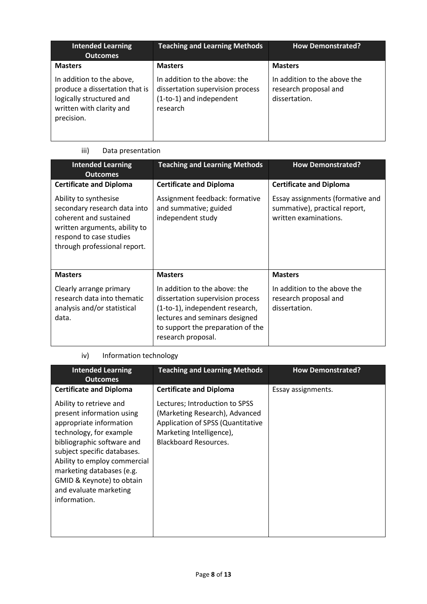| <b>Intended Learning</b><br><b>Outcomes</b>                                                                                       | <b>Teaching and Learning Methods</b>                                                                      | <b>How Demonstrated?</b>                                               |
|-----------------------------------------------------------------------------------------------------------------------------------|-----------------------------------------------------------------------------------------------------------|------------------------------------------------------------------------|
| <b>Masters</b>                                                                                                                    | <b>Masters</b>                                                                                            | <b>Masters</b>                                                         |
| In addition to the above,<br>produce a dissertation that is<br>logically structured and<br>written with clarity and<br>precision. | In addition to the above: the<br>dissertation supervision process<br>(1-to-1) and independent<br>research | In addition to the above the<br>research proposal and<br>dissertation. |

# iii) Data presentation

| <b>Intended Learning</b><br><b>Outcomes</b>                                                                                                                                 | <b>Teaching and Learning Methods</b>                                                                                                                                                              | <b>How Demonstrated?</b>                                                                   |
|-----------------------------------------------------------------------------------------------------------------------------------------------------------------------------|---------------------------------------------------------------------------------------------------------------------------------------------------------------------------------------------------|--------------------------------------------------------------------------------------------|
| <b>Certificate and Diploma</b>                                                                                                                                              | <b>Certificate and Diploma</b>                                                                                                                                                                    | <b>Certificate and Diploma</b>                                                             |
| Ability to synthesise<br>secondary research data into<br>coherent and sustained<br>written arguments, ability to<br>respond to case studies<br>through professional report. | Assignment feedback: formative<br>and summative; guided<br>independent study                                                                                                                      | Essay assignments (formative and<br>summative), practical report,<br>written examinations. |
| <b>Masters</b>                                                                                                                                                              | <b>Masters</b>                                                                                                                                                                                    | <b>Masters</b>                                                                             |
| Clearly arrange primary<br>research data into thematic<br>analysis and/or statistical<br>data.                                                                              | In addition to the above: the<br>dissertation supervision process<br>(1-to-1), independent research,<br>lectures and seminars designed<br>to support the preparation of the<br>research proposal. | In addition to the above the<br>research proposal and<br>dissertation.                     |

# iv) Information technology

| <b>Intended Learning</b><br><b>Outcomes</b>                                                                                                                                                                                                                                                                 | <b>Teaching and Learning Methods</b>                                                                                                                              | <b>How Demonstrated?</b> |
|-------------------------------------------------------------------------------------------------------------------------------------------------------------------------------------------------------------------------------------------------------------------------------------------------------------|-------------------------------------------------------------------------------------------------------------------------------------------------------------------|--------------------------|
| <b>Certificate and Diploma</b>                                                                                                                                                                                                                                                                              | <b>Certificate and Diploma</b>                                                                                                                                    | Essay assignments.       |
| Ability to retrieve and<br>present information using<br>appropriate information<br>technology, for example<br>bibliographic software and<br>subject specific databases.<br>Ability to employ commercial<br>marketing databases (e.g.<br>GMID & Keynote) to obtain<br>and evaluate marketing<br>information. | Lectures; Introduction to SPSS<br>(Marketing Research), Advanced<br>Application of SPSS (Quantitative<br>Marketing Intelligence),<br><b>Blackboard Resources.</b> |                          |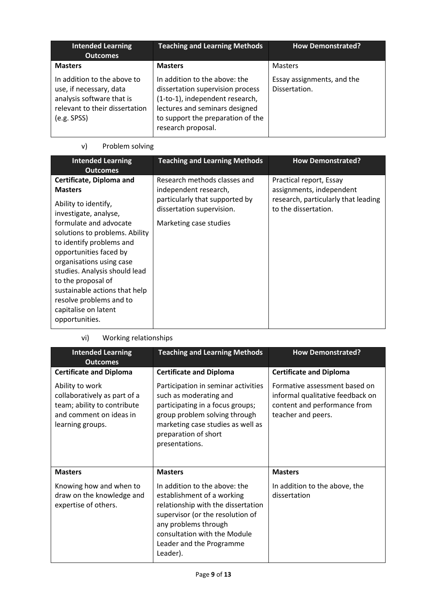| <b>Intended Learning</b><br><b>Outcomes</b>                                                                                          | <b>Teaching and Learning Methods</b>                                                                                                                                                              | <b>How Demonstrated?</b>                    |
|--------------------------------------------------------------------------------------------------------------------------------------|---------------------------------------------------------------------------------------------------------------------------------------------------------------------------------------------------|---------------------------------------------|
| <b>Masters</b>                                                                                                                       | <b>Masters</b>                                                                                                                                                                                    | <b>Masters</b>                              |
| In addition to the above to<br>use, if necessary, data<br>analysis software that is<br>relevant to their dissertation<br>(e.g. SPSS) | In addition to the above: the<br>dissertation supervision process<br>(1-to-1), independent research,<br>lectures and seminars designed<br>to support the preparation of the<br>research proposal. | Essay assignments, and the<br>Dissertation. |

# v) Problem solving

| <b>Intended Learning</b><br><b>Outcomes</b>                                                                                                                                                                                                                                                                                                                                                            | <b>Teaching and Learning Methods</b>                                                                                                           | <b>How Demonstrated?</b>                                                                                           |
|--------------------------------------------------------------------------------------------------------------------------------------------------------------------------------------------------------------------------------------------------------------------------------------------------------------------------------------------------------------------------------------------------------|------------------------------------------------------------------------------------------------------------------------------------------------|--------------------------------------------------------------------------------------------------------------------|
| Certificate, Diploma and<br><b>Masters</b><br>Ability to identify,<br>investigate, analyse,<br>formulate and advocate<br>solutions to problems. Ability<br>to identify problems and<br>opportunities faced by<br>organisations using case<br>studies. Analysis should lead<br>to the proposal of<br>sustainable actions that help<br>resolve problems and to<br>capitalise on latent<br>opportunities. | Research methods classes and<br>independent research,<br>particularly that supported by<br>dissertation supervision.<br>Marketing case studies | Practical report, Essay<br>assignments, independent<br>research, particularly that leading<br>to the dissertation. |

vi) Working relationships

| <b>Intended Learning</b><br><b>Outcomes</b>                                                                                   | <b>Teaching and Learning Methods</b>                                                                                                                                                                                                  | <b>How Demonstrated?</b>                                                                                                |  |
|-------------------------------------------------------------------------------------------------------------------------------|---------------------------------------------------------------------------------------------------------------------------------------------------------------------------------------------------------------------------------------|-------------------------------------------------------------------------------------------------------------------------|--|
| <b>Certificate and Diploma</b>                                                                                                | <b>Certificate and Diploma</b>                                                                                                                                                                                                        | <b>Certificate and Diploma</b>                                                                                          |  |
| Ability to work<br>collaboratively as part of a<br>team; ability to contribute<br>and comment on ideas in<br>learning groups. | Participation in seminar activities<br>such as moderating and<br>participating in a focus groups;<br>group problem solving through<br>marketing case studies as well as<br>preparation of short<br>presentations.                     | Formative assessment based on<br>informal qualitative feedback on<br>content and performance from<br>teacher and peers. |  |
| <b>Masters</b>                                                                                                                | <b>Masters</b>                                                                                                                                                                                                                        | <b>Masters</b>                                                                                                          |  |
| Knowing how and when to<br>draw on the knowledge and<br>expertise of others.                                                  | In addition to the above: the<br>establishment of a working<br>relationship with the dissertation<br>supervisor (or the resolution of<br>any problems through<br>consultation with the Module<br>Leader and the Programme<br>Leader). | In addition to the above, the<br>dissertation                                                                           |  |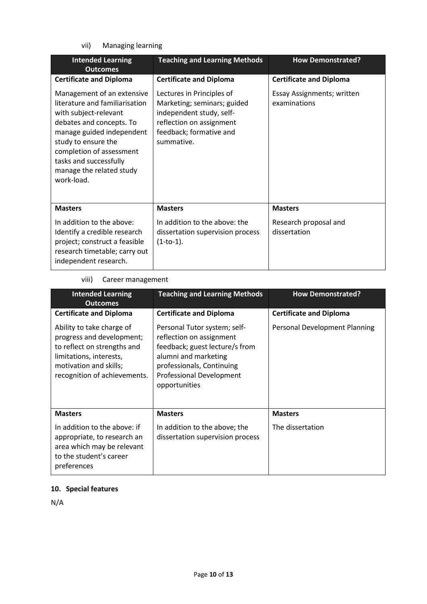vii) Managing learning

| <b>Intended Learning</b><br><b>Outcomes</b>                                                                                                                                                                                                                           | <b>Teaching and Learning Methods</b>                                                                                                                      | <b>How Demonstrated?</b>                          |  |
|-----------------------------------------------------------------------------------------------------------------------------------------------------------------------------------------------------------------------------------------------------------------------|-----------------------------------------------------------------------------------------------------------------------------------------------------------|---------------------------------------------------|--|
| <b>Certificate and Diploma</b>                                                                                                                                                                                                                                        | <b>Certificate and Diploma</b>                                                                                                                            | <b>Certificate and Diploma</b>                    |  |
| Management of an extensive<br>literature and familiarisation<br>with subject-relevant<br>debates and concepts. To<br>manage guided independent<br>study to ensure the<br>completion of assessment<br>tasks and successfully<br>manage the related study<br>work-load. | Lectures in Principles of<br>Marketing; seminars; guided<br>independent study, self-<br>reflection on assignment<br>feedback; formative and<br>summative. | <b>Essay Assignments; written</b><br>examinations |  |
| <b>Masters</b>                                                                                                                                                                                                                                                        | <b>Masters</b>                                                                                                                                            | <b>Masters</b>                                    |  |
| In addition to the above:<br>Identify a credible research<br>project; construct a feasible<br>research timetable; carry out<br>independent research.                                                                                                                  | In addition to the above: the<br>dissertation supervision process<br>$(1-to-1).$                                                                          | Research proposal and<br>dissertation             |  |

# viii) Career management

| <b>Intended Learning</b><br><b>Outcomes</b>                                                                                                                                | <b>Teaching and Learning Methods</b>                                                                                                                                                         | <b>How Demonstrated?</b>       |  |
|----------------------------------------------------------------------------------------------------------------------------------------------------------------------------|----------------------------------------------------------------------------------------------------------------------------------------------------------------------------------------------|--------------------------------|--|
| <b>Certificate and Diploma</b>                                                                                                                                             | <b>Certificate and Diploma</b>                                                                                                                                                               | <b>Certificate and Diploma</b> |  |
| Ability to take charge of<br>progress and development;<br>to reflect on strengths and<br>limitations, interests,<br>motivation and skills;<br>recognition of achievements. | Personal Tutor system; self-<br>reflection on assignment<br>feedback; guest lecture/s from<br>alumni and marketing<br>professionals, Continuing<br>Professional Development<br>opportunities | Personal Development Planning  |  |
| <b>Masters</b>                                                                                                                                                             | <b>Masters</b>                                                                                                                                                                               | <b>Masters</b>                 |  |
| In addition to the above: if<br>appropriate, to research an<br>area which may be relevant<br>to the student's career<br>preferences                                        | In addition to the above; the<br>dissertation supervision process                                                                                                                            | The dissertation               |  |

# **10. Special features**

N/A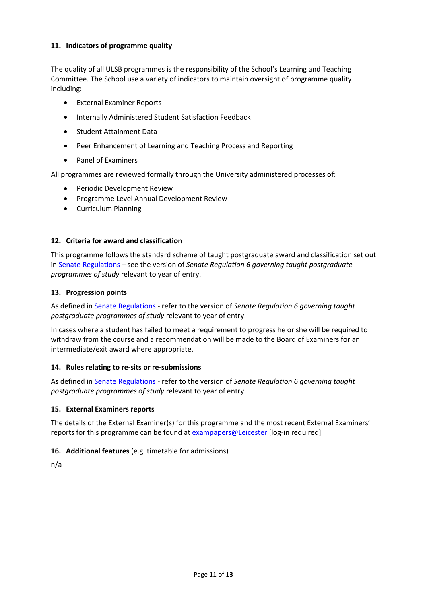## **11. Indicators of programme quality**

The quality of all ULSB programmes is the responsibility of the School's Learning and Teaching Committee. The School use a variety of indicators to maintain oversight of programme quality including:

- External Examiner Reports
- **Internally Administered Student Satisfaction Feedback**
- **Student Attainment Data**
- Peer Enhancement of Learning and Teaching Process and Reporting
- Panel of Examiners

All programmes are reviewed formally through the University administered processes of:

- **•** Periodic Development Review
- Programme Level Annual Development Review
- Curriculum Planning

#### **12. Criteria for award and classification**

This programme follows the standard scheme of taught postgraduate award and classification set out i[n Senate Regulations](http://www.le.ac.uk/senate-regulations) – see the version of *Senate Regulation 6 governing taught postgraduate programmes of study* relevant to year of entry.

#### **13. Progression points**

As defined i[n Senate Regulations](http://www.le.ac.uk/senate-regulation6) - refer to the version of *Senate Regulation 6 governing taught postgraduate programmes of study* relevant to year of entry.

In cases where a student has failed to meet a requirement to progress he or she will be required to withdraw from the course and a recommendation will be made to the Board of Examiners for an intermediate/exit award where appropriate.

#### **14. Rules relating to re-sits or re-submissions**

As defined i[n Senate Regulations](http://www.le.ac.uk/senate-regulation6) - refer to the version of *Senate Regulation 6 governing taught postgraduate programmes of study* relevant to year of entry.

#### **15. External Examiners reports**

The details of the External Examiner(s) for this programme and the most recent External Examiners' reports for this programme can be found at [exampapers@Leicester](https://exampapers.le.ac.uk/) [log-in required]

#### **16. Additional features** (e.g. timetable for admissions)

n/a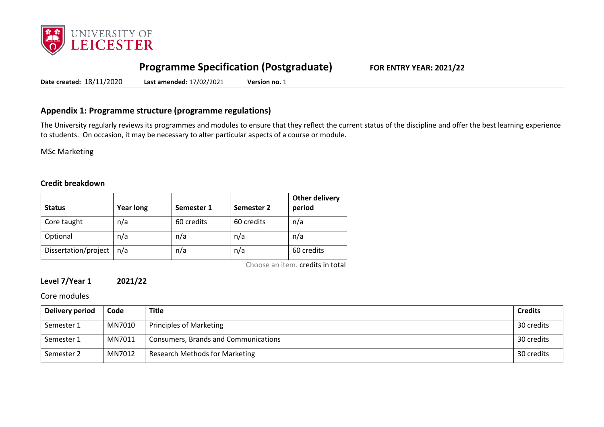

# **Programme Specification (Postgraduate) FOR ENTRY YEAR: 2021/22**

**Date created:** 18/11/2020 **Last amended:** 17/02/2021 **Version no.** 1

# **Appendix 1: Programme structure (programme regulations)**

The University regularly reviews its programmes and modules to ensure that they reflect the current status of the discipline and offer the best learning experience to students. On occasion, it may be necessary to alter particular aspects of a course or module.

MSc Marketing

#### **Credit breakdown**

| <b>Status</b>        | <b>Year long</b> | Semester 1 | Semester 2 | <b>Other delivery</b><br>period |
|----------------------|------------------|------------|------------|---------------------------------|
| Core taught          | n/a              | 60 credits | 60 credits | n/a                             |
| Optional             | n/a              | n/a        | n/a        | n/a                             |
| Dissertation/project | n/a              | n/a        | n/a        | 60 credits                      |

Choose an item. credits in total

# **Level 7/Year 1 2021/22**

Core modules

| Delivery period | Code   | Title                                | <b>Credits</b> |
|-----------------|--------|--------------------------------------|----------------|
| Semester 1      | MN7010 | <b>Principles of Marketing</b>       | 30 credits     |
| Semester 1      | MN7011 | Consumers, Brands and Communications | 30 credits     |
| Semester 2      | MN7012 | Research Methods for Marketing       | 30 credits     |